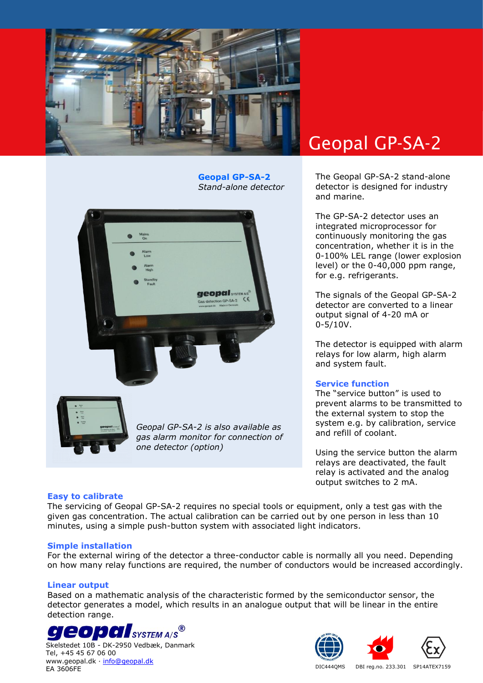

**Geopal GP-SA-2** *Stand-alone detector*



# Geopal GP-SA-2

The Geopal GP-SA-2 stand-alone detector is designed for industry and marine.

The GP-SA-2 detector uses an integrated microprocessor for continuously monitoring the gas concentration, whether it is in the 0-100% LEL range (lower explosion level) or the 0-40,000 ppm range, for e.g. refrigerants.

The signals of the Geopal GP-SA-2 detector are converted to a linear output signal of 4-20 mA or 0-5/10V.

The detector is equipped with alarm relays for low alarm, high alarm and system fault.

# **Service function**

The "service button" is used to prevent alarms to be transmitted to the external system to stop the system e.g. by calibration, service and refill of coolant.

Using the service button the alarm relays are deactivated, the fault relay is activated and the analog output switches to 2 mA.

# **Easy to calibrate**

The servicing of Geopal GP-SA-2 requires no special tools or equipment, only a test gas with the given gas concentration. The actual calibration can be carried out by one person in less than 10 minutes, using a simple push-button system with associated light indicators.

#### **Simple installation**

For the external wiring of the detector a three-conductor cable is normally all you need. Depending on how many relay functions are required, the number of conductors would be increased accordingly.

# **Linear output**

Based on a mathematic analysis of the characteristic formed by the semiconductor sensor, the detector generates a model, which results in an analogue output that will be linear in the entire detection range.



Skelstedet 10B - DK-2950 Vedbæk, Danmark Tel, +45 45 67 06 00 www.geopal.dk · [info@geopal.dk](mailto:info@geopal.dk) EA 3606FE **EXAMPLE REG. AND THE SERVICE OF STATES AND REG. AND THE SERVICE OF STATES AND REG. 100 SPI4ATEX7159**